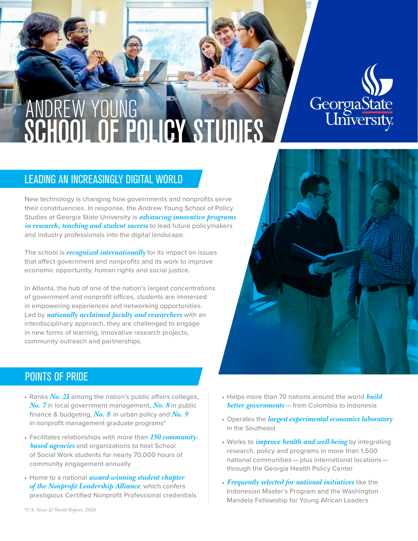# SCHOOL OF POLICY STUDIES ANDREW YOUNG



# LEADING AN INCREASINGLY DIGITAL WORLD

New technology is changing how governments and nonprofits serve their constituencies. In response, the Andrew Young School of Policy Studies at Georgia State University is *advancing innovative programs in research, teaching and student success* to lead future policymakers and industry professionals into the digital landscape.

The school is *recognized internationally* for its impact on issues that affect government and nonprofits and its work to improve economic opportunity, human rights and social justice.

In Atlanta, the hub of one of the nation's largest concentrations of government and nonprofit offices, students are immersed in empowering experiences and networking opportunities. Led by *nationally acclaimed faculty and researchers* with an interdisciplinary approach, they are challenged to engage in new forms of learning, innovative research projects, community outreach and partnerships.



## POINTS OF PRIDE

- Ranks *No. 21* among the nation's public affairs colleges, *No. 7* in local government management, *No. 8* in public finance & budgeting, *No. 8* in urban policy and *No. 9* in nonprofit management graduate programs\*
- Facilitates relationships with more than *150 community based agencies* and organizations to host School of Social Work students for nearly 70,000 hours of community engagement annually
- Home to a national *award-winning student chapter of the Nonprofit Leadership Alliance*, which confers prestigious Certified Nonprofit Professional credentials
- Helps more than 70 nations around the world *build better governments* — from Colombia to Indonesia
- Operates the *largest experimental economics laboratory* in the Southeast
- Works to *improve health and well-being* by integrating research, policy and programs in more than 1,500 national communities — plus international locations through the Georgia Health Policy Center
- *Frequently selected for national initiatives* like the Indonesian Master's Program and the Washington Mandela Fellowship for Young African Leaders